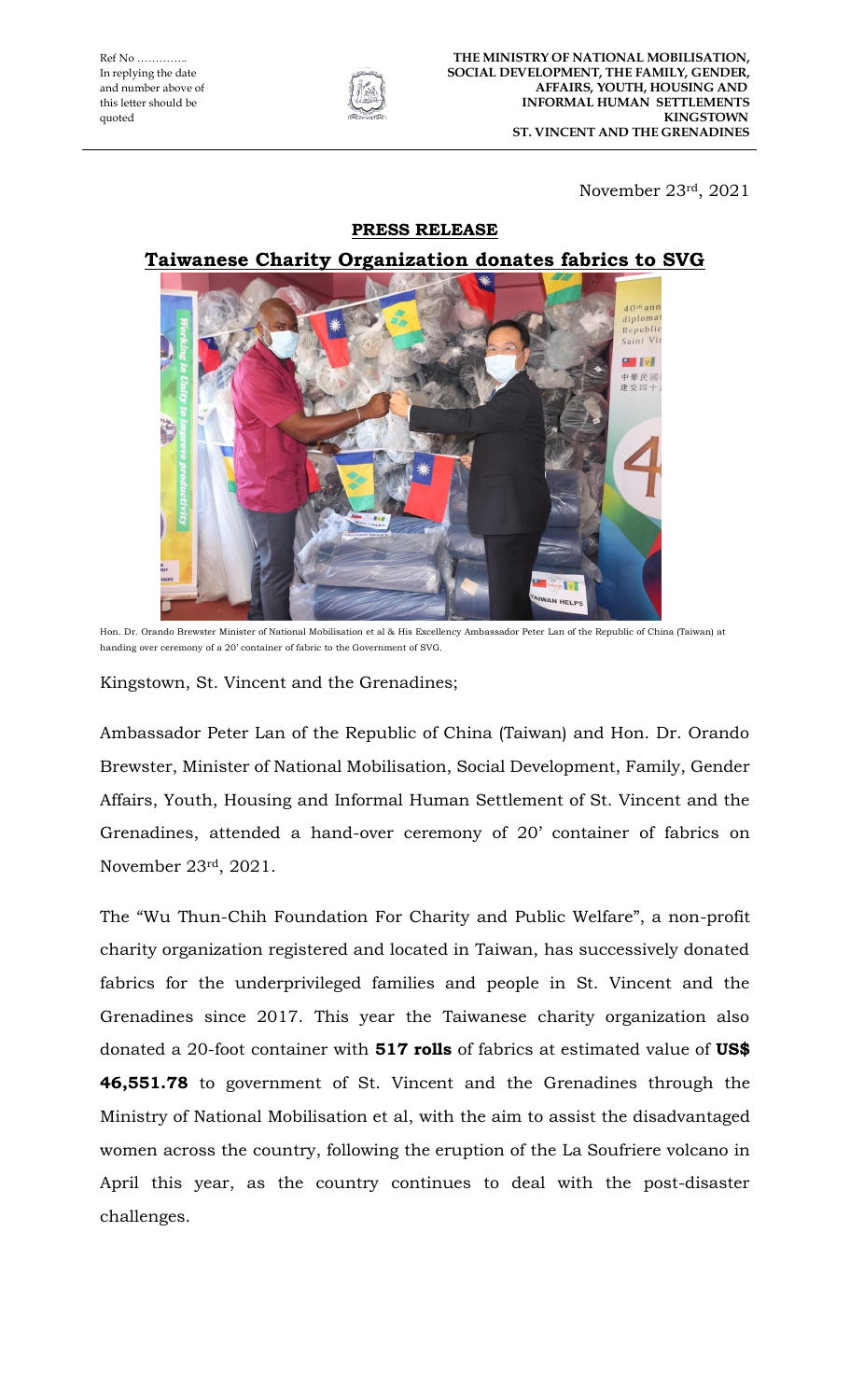

November 23rd, 2021

## **PRESS RELEASE**

## **Taiwanese Charity Organization donates fabrics to SVG**



Hon. Dr. Orando Brewster Minister of National Mobilisation et al & His Excellency Ambassador Peter Lan of the Republic of China (Taiwan) at handing over ceremony of a 20' container of fabric to the Government of SVG.

Kingstown, St. Vincent and the Grenadines;

Ambassador Peter Lan of the Republic of China (Taiwan) and Hon. Dr. Orando Brewster, Minister of National Mobilisation, Social Development, Family, Gender Affairs, Youth, Housing and Informal Human Settlement of St. Vincent and the Grenadines, attended a hand-over ceremony of 20' container of fabrics on November 23rd, 2021.

The "Wu Thun-Chih Foundation For Charity and Public Welfare", a non-profit charity organization registered and located in Taiwan, has successively donated fabrics for the underprivileged families and people in St. Vincent and the Grenadines since 2017. This year the Taiwanese charity organization also donated a 20-foot container with **517 rolls** of fabrics at estimated value of **US\$ 46,551.78** to government of St. Vincent and the Grenadines through the Ministry of National Mobilisation et al, with the aim to assist the disadvantaged women across the country, following the eruption of the La Soufriere volcano in April this year, as the country continues to deal with the post-disaster challenges.